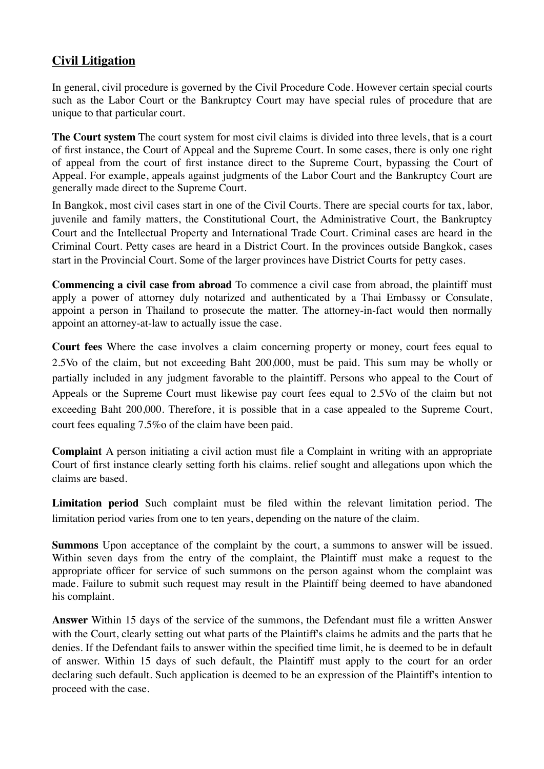## **Civil Litigation**

In general, civil procedure is governed by the Civil Procedure Code. However certain special courts such as the Labor Court or the Bankruptcy Court may have special rules of procedure that are unique to that particular court.

**The Court system** The court system for most civil claims is divided into three levels, that is a court of first instance, the Court of Appeal and the Supreme Court. In some cases, there is only one right of appeal from the court of first instance direct to the Supreme Court, bypassing the Court of Appeal. For example, appeals against judgments of the Labor Court and the Bankruptcy Court are generally made direct to the Supreme Court.

In Bangkok, most civil cases start in one of the Civil Courts. There are special courts for tax, labor, juvenile and family matters, the Constitutional Court, the Administrative Court, the Bankruptcy Court and the Intellectual Property and International Trade Court. Criminal cases are heard in the Criminal Court. Petty cases are heard in a District Court. In the provinces outside Bangkok, cases start in the Provincial Court. Some of the larger provinces have District Courts for petty cases.

**Commencing a civil case from abroad** To commence a civil case from abroad, the plaintiff must apply a power of attorney duly notarized and authenticated by a Thai Embassy or Consulate, appoint a person in Thailand to prosecute the matter. The attorney-in-fact would then normally appoint an attorney-at-law to actually issue the case.

**Court fees** Where the case involves a claim concerning property or money, court fees equal to 2.5Vo of the claim, but not exceeding Baht 200,000, must be paid. This sum may be wholly or partially included in any judgment favorable to the plaintiff. Persons who appeal to the Court of Appeals or the Supreme Court must likewise pay court fees equal to 2.5Vo of the claim but not exceeding Baht 200,000. Therefore, it is possible that in a case appealed to the Supreme Court, court fees equaling 7.5%o of the claim have been paid.

**Complaint** A person initiating a civil action must file a Complaint in writing with an appropriate Court of first instance clearly setting forth his claims. relief sought and allegations upon which the claims are based.

**Limitation period** Such complaint must be filed within the relevant limitation period. The limitation period varies from one to ten years, depending on the nature of the claim.

**Summons** Upon acceptance of the complaint by the court, a summons to answer will be issued. Within seven days from the entry of the complaint, the Plaintiff must make a request to the appropriate officer for service of such summons on the person against whom the complaint was made. Failure to submit such request may result in the Plaintiff being deemed to have abandoned his complaint.

**Answer** Within 15 days of the service of the summons, the Defendant must file a written Answer with the Court, clearly setting out what parts of the Plaintiff's claims he admits and the parts that he denies. If the Defendant fails to answer within the specified time limit, he is deemed to be in default of answer. Within 15 days of such default, the Plaintiff must apply to the court for an order declaring such default. Such application is deemed to be an expression of the Plaintiff's intention to proceed with the case.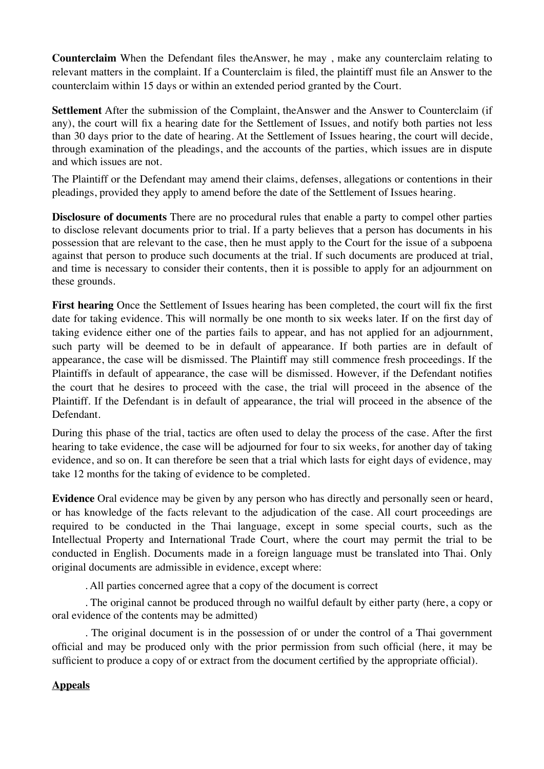**Counterclaim** When the Defendant files theAnswer, he may , make any counterclaim relating to relevant matters in the complaint. If a Counterclaim is filed, the plaintiff must file an Answer to the counterclaim within 15 days or within an extended period granted by the Court.

**Settlement** After the submission of the Complaint, theAnswer and the Answer to Counterclaim (if any), the court will fix a hearing date for the Settlement of Issues, and notify both parties not less than 30 days prior to the date of hearing. At the Settlement of Issues hearing, the court will decide, through examination of the pleadings, and the accounts of the parties, which issues are in dispute and which issues are not.

The Plaintiff or the Defendant may amend their claims, defenses, allegations or contentions in their pleadings, provided they apply to amend before the date of the Settlement of Issues hearing.

**Disclosure of documents** There are no procedural rules that enable a party to compel other parties to disclose relevant documents prior to trial. If a party believes that a person has documents in his possession that are relevant to the case, then he must apply to the Court for the issue of a subpoena against that person to produce such documents at the trial. If such documents are produced at trial, and time is necessary to consider their contents, then it is possible to apply for an adjournment on these grounds.

**First hearing** Once the Settlement of Issues hearing has been completed, the court will fix the first date for taking evidence. This will normally be one month to six weeks later. If on the first day of taking evidence either one of the parties fails to appear, and has not applied for an adjournment, such party will be deemed to be in default of appearance. If both parties are in default of appearance, the case will be dismissed. The Plaintiff may still commence fresh proceedings. If the Plaintiffs in default of appearance, the case will be dismissed. However, if the Defendant notifies the court that he desires to proceed with the case, the trial will proceed in the absence of the Plaintiff. If the Defendant is in default of appearance, the trial will proceed in the absence of the Defendant.

During this phase of the trial, tactics are often used to delay the process of the case. After the first hearing to take evidence, the case will be adjourned for four to six weeks, for another day of taking evidence, and so on. It can therefore be seen that a trial which lasts for eight days of evidence, may take 12 months for the taking of evidence to be completed.

**Evidence** Oral evidence may be given by any person who has directly and personally seen or heard, or has knowledge of the facts relevant to the adjudication of the case. All court proceedings are required to be conducted in the Thai language, except in some special courts, such as the Intellectual Property and International Trade Court, where the court may permit the trial to be conducted in English. Documents made in a foreign language must be translated into Thai. Only original documents are admissible in evidence, except where:

. All parties concerned agree that a copy of the document is correct

. The original cannot be produced through no wailful default by either party (here, a copy or oral evidence of the contents may be admitted)

. The original document is in the possession of or under the control of a Thai government official and may be produced only with the prior permission from such official (here, it may be sufficient to produce a copy of or extract from the document certified by the appropriate official).

## **Appeals**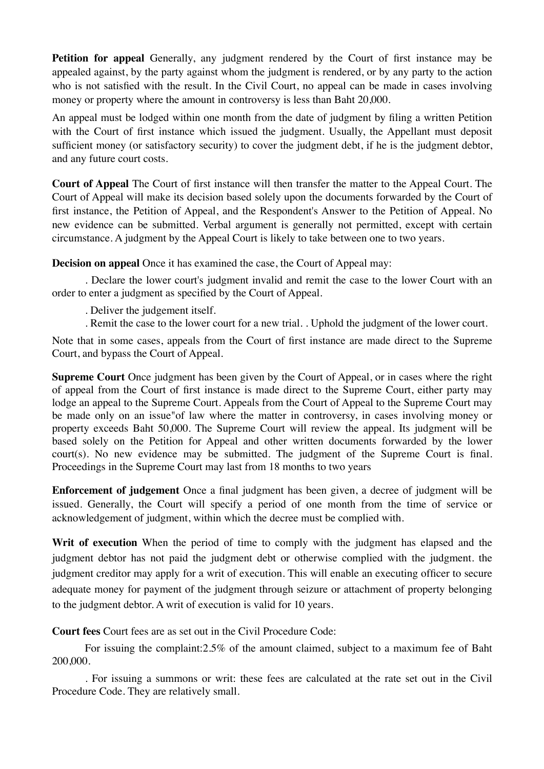**Petition for appeal** Generally, any judgment rendered by the Court of first instance may be appealed against, by the party against whom the judgment is rendered, or by any party to the action who is not satisfied with the result. In the Civil Court, no appeal can be made in cases involving money or property where the amount in controversy is less than Baht 20,000.

An appeal must be lodged within one month from the date of judgment by filing a written Petition with the Court of first instance which issued the judgment. Usually, the Appellant must deposit sufficient money (or satisfactory security) to cover the judgment debt, if he is the judgment debtor, and any future court costs.

**Court of Appeal** The Court of first instance will then transfer the matter to the Appeal Court. The Court of Appeal will make its decision based solely upon the documents forwarded by the Court of first instance, the Petition of Appeal, and the Respondent's Answer to the Petition of Appeal. No new evidence can be submitted. Verbal argument is generally not permitted, except with certain circumstance. A judgment by the Appeal Court is likely to take between one to two years.

**Decision on appeal** Once it has examined the case, the Court of Appeal may:

. Declare the lower court's judgment invalid and remit the case to the lower Court with an order to enter a judgment as specified by the Court of Appeal.

. Deliver the judgement itself.

. Remit the case to the lower court for a new trial. . Uphold the judgment of the lower court.

Note that in some cases, appeals from the Court of first instance are made direct to the Supreme Court, and bypass the Court of Appeal.

**Supreme Court** Once judgment has been given by the Court of Appeal, or in cases where the right of appeal from the Court of first instance is made direct to the Supreme Court, either party may lodge an appeal to the Supreme Court. Appeals from the Court of Appeal to the Supreme Court may be made only on an issue"of law where the matter in controversy, in cases involving money or property exceeds Baht 50,000. The Supreme Court will review the appeal. Its judgment will be based solely on the Petition for Appeal and other written documents forwarded by the lower court(s). No new evidence may be submitted. The judgment of the Supreme Court is final. Proceedings in the Supreme Court may last from 18 months to two years

**Enforcement of judgement** Once a final judgment has been given, a decree of judgment will be issued. Generally, the Court will specify a period of one month from the time of service or acknowledgement of judgment, within which the decree must be complied with.

**Writ of execution** When the period of time to comply with the judgment has elapsed and the judgment debtor has not paid the judgment debt or otherwise complied with the judgment. the judgment creditor may apply for a writ of execution. This will enable an executing officer to secure adequate money for payment of the judgment through seizure or attachment of property belonging to the judgment debtor. A writ of execution is valid for 10 years.

**Court fees** Court fees are as set out in the Civil Procedure Code:

For issuing the complaint:2.5% of the amount claimed, subject to a maximum fee of Baht 200,000.

. For issuing a summons or writ: these fees are calculated at the rate set out in the Civil Procedure Code. They are relatively small.